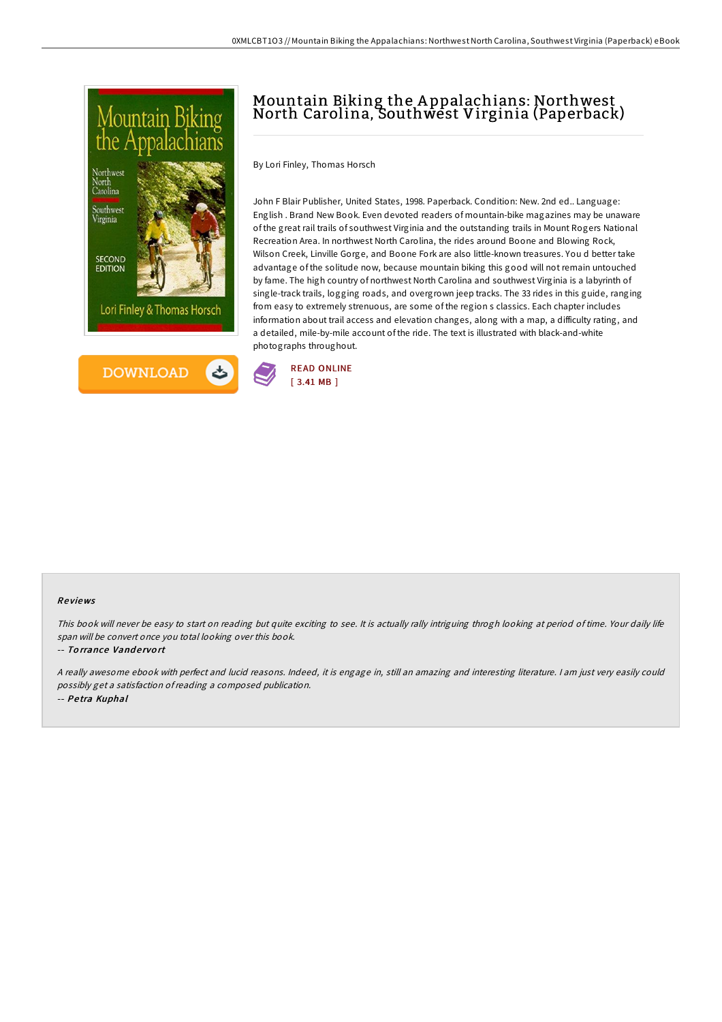

# Mountain Biking the A ppalachians: Northwest North Carolina, Southwest Virginia (Paperback)

By Lori Finley, Thomas Horsch

John F Blair Publisher, United States, 1998. Paperback. Condition: New. 2nd ed.. Language: English . Brand New Book. Even devoted readers of mountain-bike magazines may be unaware of the great rail trails of southwest Virginia and the outstanding trails in Mount Rogers National Recreation Area. In northwest North Carolina, the rides around Boone and Blowing Rock, Wilson Creek, Linville Gorge, and Boone Fork are also little-known treasures. You d better take advantage of the solitude now, because mountain biking this good will not remain untouched by fame. The high country of northwest North Carolina and southwest Virginia is a labyrinth of single-track trails, logging roads, and overgrown jeep tracks. The 33 rides in this guide, ranging from easy to extremely strenuous, are some of the region s classics. Each chapter includes information about trail access and elevation changes, along with a map, a difficulty rating, and a detailed, mile-by-mile account of the ride. The text is illustrated with black-and-white photographs throughout.



#### Re views

This book will never be easy to start on reading but quite exciting to see. It is actually rally intriguing throgh looking at period of time. Your daily life span will be convert once you total looking over this book.

#### -- Torrance Vandervort

<sup>A</sup> really awesome ebook with perfect and lucid reasons. Indeed, it is engage in, still an amazing and interesting literature. <sup>I</sup> am just very easily could possibly get <sup>a</sup> satisfaction ofreading <sup>a</sup> composed publication. -- Pe tra Kuphal